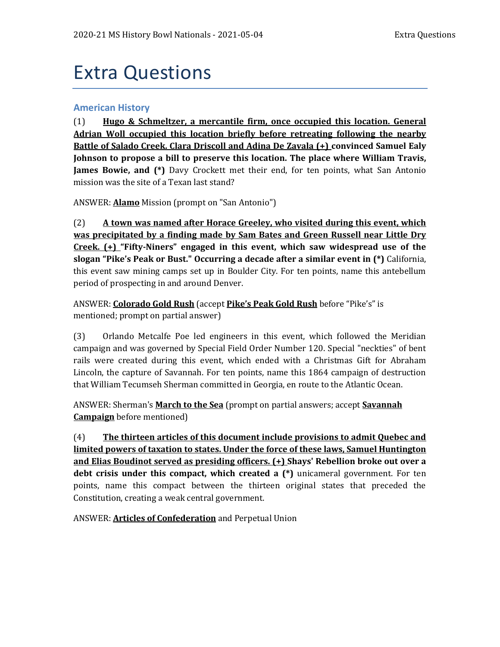# Extra Questions

#### **American History**

(1) **Hugo & Schmeltzer, a mercantile firm, once occupied this location. General Adrian Woll occupied this location briefly before retreating following the nearby Battle of Salado Creek. Clara Driscoll and Adina De Zavala (+) convinced Samuel Ealy Johnson to propose a bill to preserve this location. The place where William Travis, James Bowie, and (\*)** Davy Crockett met their end, for ten points, what San Antonio mission was the site of a Texan last stand?

ANSWER: **Alamo** Mission (prompt on "San Antonio")

(2) **A town was named after Horace Greeley, who visited during this event, which was precipitated by a finding made by Sam Bates and Green Russell near Little Dry Creek. (+) "Fifty-Niners" engaged in this event, which saw widespread use of the slogan "Pike's Peak or Bust." Occurring a decade after a similar event in (\*)** California, this event saw mining camps set up in Boulder City. For ten points, name this antebellum period of prospecting in and around Denver.

ANSWER: **Colorado Gold Rush** (accept **Pike's Peak Gold Rush** before "Pike's" is mentioned; prompt on partial answer)

(3) Orlando Metcalfe Poe led engineers in this event, which followed the Meridian campaign and was governed by Special Field Order Number 120. Special "neckties" of bent rails were created during this event, which ended with a Christmas Gift for Abraham Lincoln, the capture of Savannah. For ten points, name this 1864 campaign of destruction that William Tecumseh Sherman committed in Georgia, en route to the Atlantic Ocean.

ANSWER: Sherman's **March to the Sea** (prompt on partial answers; accept **Savannah Campaign** before mentioned)

(4) **The thirteen articles of this document include provisions to admit Quebec and limited powers of taxation to states. Under the force of these laws, Samuel Huntington and Elias Boudinot served as presiding officers. (+) Shays' Rebellion broke out over a debt crisis under this compact, which created a (\*)** unicameral government. For ten points, name this compact between the thirteen original states that preceded the Constitution, creating a weak central government.

ANSWER: **Articles of Confederation** and Perpetual Union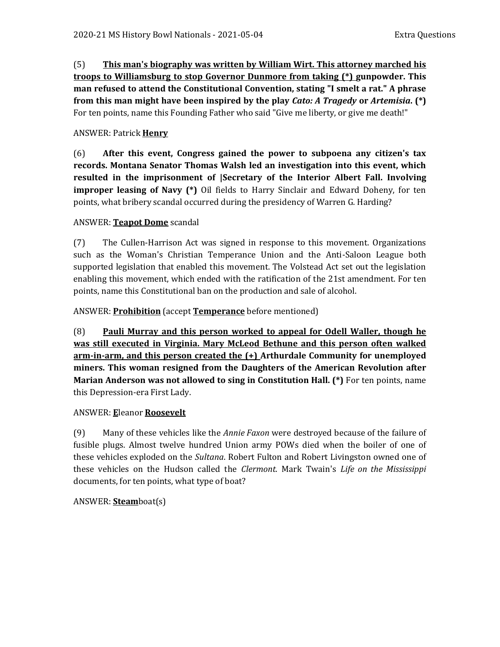(5) **This man's biography was written by William Wirt. This attorney marched his troops to Williamsburg to stop Governor Dunmore from taking (\*) gunpowder. This man refused to attend the Constitutional Convention, stating "I smelt a rat." A phrase from this man might have been inspired by the play** *Cato: A Tragedy* **or** *Artemisia***. (\*)**  For ten points, name this Founding Father who said "Give me liberty, or give me death!"

## ANSWER: Patrick **Henry**

(6) **After this event, Congress gained the power to subpoena any citizen's tax records. Montana Senator Thomas Walsh led an investigation into this event, which resulted in the imprisonment of |Secretary of the Interior Albert Fall. Involving improper leasing of Navy (\*)** Oil fields to Harry Sinclair and Edward Doheny, for ten points, what bribery scandal occurred during the presidency of Warren G. Harding?

#### ANSWER: **Teapot Dome** scandal

(7) The Cullen-Harrison Act was signed in response to this movement. Organizations such as the Woman's Christian Temperance Union and the Anti-Saloon League both supported legislation that enabled this movement. The Volstead Act set out the legislation enabling this movement, which ended with the ratification of the 21st amendment. For ten points, name this Constitutional ban on the production and sale of alcohol.

#### ANSWER: **Prohibition** (accept **Temperance** before mentioned)

(8) **Pauli Murray and this person worked to appeal for Odell Waller, though he was still executed in Virginia. Mary McLeod Bethune and this person often walked arm-in-arm, and this person created the (+) Arthurdale Community for unemployed miners. This woman resigned from the Daughters of the American Revolution after Marian Anderson was not allowed to sing in Constitution Hall. (\*)** For ten points, name this Depression-era First Lady.

#### ANSWER: **E**leanor **Roosevelt**

(9) Many of these vehicles like the *Annie Faxon* were destroyed because of the failure of fusible plugs. Almost twelve hundred Union army POWs died when the boiler of one of these vehicles exploded on the *Sultana*. Robert Fulton and Robert Livingston owned one of these vehicles on the Hudson called the *Clermont*. Mark Twain's *Life on the Mississippi* documents, for ten points, what type of boat?

# ANSWER: **Steam**boat(s)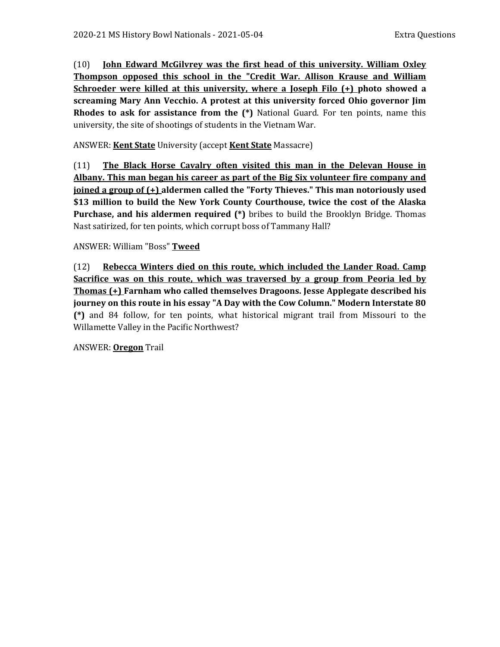(10) **John Edward McGilvrey was the first head of this university. William Oxley Thompson opposed this school in the "Credit War. Allison Krause and William Schroeder were killed at this university, where a Joseph Filo (+) photo showed a screaming Mary Ann Vecchio. A protest at this university forced Ohio governor Jim Rhodes to ask for assistance from the (\*)** National Guard. For ten points, name this university, the site of shootings of students in the Vietnam War.

ANSWER: **Kent State** University (accept **Kent State** Massacre)

(11) **The Black Horse Cavalry often visited this man in the Delevan House in Albany. This man began his career as part of the Big Six volunteer fire company and joined a group of (+) aldermen called the "Forty Thieves." This man notoriously used \$13 million to build the New York County Courthouse, twice the cost of the Alaska Purchase, and his aldermen required (\*)** bribes to build the Brooklyn Bridge. Thomas Nast satirized, for ten points, which corrupt boss of Tammany Hall?

#### ANSWER: William "Boss" **Tweed**

(12) **Rebecca Winters died on this route, which included the Lander Road. Camp Sacrifice was on this route, which was traversed by a group from Peoria led by Thomas (+) Farnham who called themselves Dragoons. Jesse Applegate described his journey on this route in his essay "A Day with the Cow Column." Modern Interstate 80 (\*)** and 84 follow, for ten points, what historical migrant trail from Missouri to the Willamette Valley in the Pacific Northwest?

ANSWER: **Oregon** Trail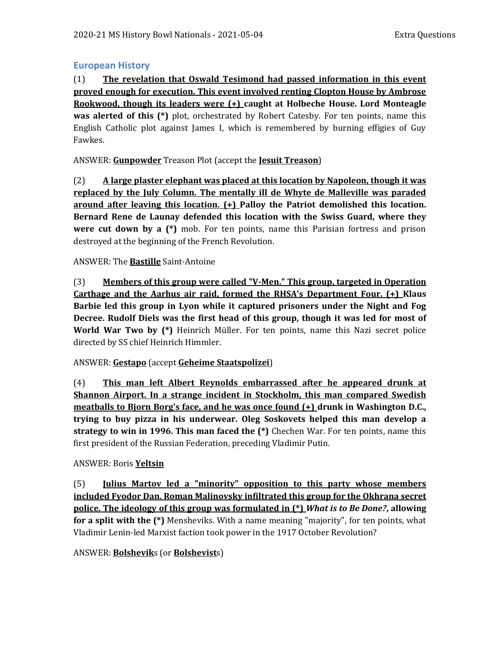## **European History**

(1) **The revelation that Oswald Tesimond had passed information in this event proved enough for execution. This event involved renting Clopton House by Ambrose Rookwood, though its leaders were (+) caught at Holbeche House. Lord Monteagle was alerted of this (\*)** plot, orchestrated by Robert Catesby. For ten points, name this English Catholic plot against James I, which is remembered by burning effigies of Guy Fawkes.

ANSWER: **Gunpowder** Treason Plot (accept the **Jesuit Treason**)

(2) **A large plaster elephant was placed at this location by Napoleon, though it was replaced by the July Column. The mentally ill de Whyte de Malleville was paraded around after leaving this location. (+) Palloy the Patriot demolished this location. Bernard Rene de Launay defended this location with the Swiss Guard, where they were cut down by a (\*)** mob. For ten points, name this Parisian fortress and prison destroyed at the beginning of the French Revolution.

#### ANSWER: The **Bastille** Saint-Antoine

(3) **Members of this group were called "V-Men." This group, targeted in Operation Carthage and the Aarhus air raid, formed the RHSA's Department Four. (+) Klaus Barbie led this group in Lyon while it captured prisoners under the Night and Fog Decree. Rudolf Diels was the first head of this group, though it was led for most of World War Two by (\*)** Heinrich Müller. For ten points, name this Nazi secret police directed by SS chief Heinrich Himmler.

#### ANSWER: **Gestapo** (accept **Geheime Staatspolizei**)

(4) **This man left Albert Reynolds embarrassed after he appeared drunk at Shannon Airport. In a strange incident in Stockholm, this man compared Swedish meatballs to Bjorn Borg's face, and he was once found (+) drunk in Washington D.C., trying to buy pizza in his underwear. Oleg Soskovets helped this man develop a strategy to win in 1996. This man faced the (\*)** Chechen War. For ten points, name this first president of the Russian Federation, preceding Vladimir Putin.

#### ANSWER: Boris **Yeltsin**

(5) **Julius Martov led a "minority" opposition to this party whose members included Fyodor Dan. Roman Malinovsky infiltrated this group for the Okhrana secret police. The ideology of this group was formulated in (\*)** *What is to Be Done?***, allowing for a split with the (\*)** Mensheviks. With a name meaning "majority", for ten points, what Vladimir Lenin-led Marxist faction took power in the 1917 October Revolution?

ANSWER: **Bolshevik**s (or **Bolshevist**s)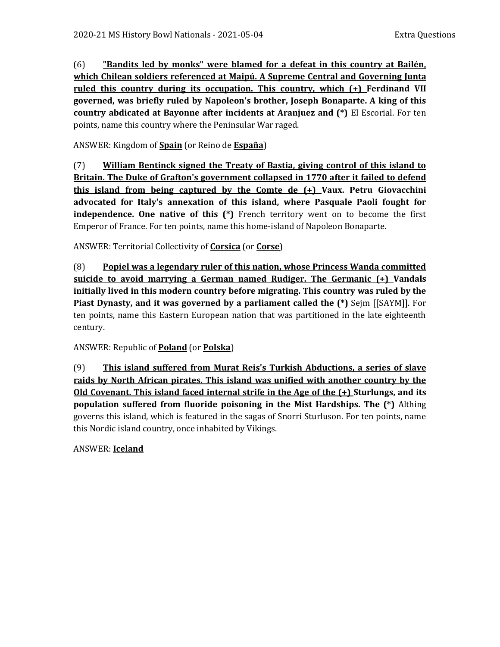(6) **"Bandits led by monks" were blamed for a defeat in this country at Bailén, which Chilean soldiers referenced at Maipú. A Supreme Central and Governing Junta ruled this country during its occupation. This country, which (+) Ferdinand VII governed, was briefly ruled by Napoleon's brother, Joseph Bonaparte. A king of this country abdicated at Bayonne after incidents at Aranjuez and (\*)** El Escorial. For ten points, name this country where the Peninsular War raged.

ANSWER: Kingdom of **Spain** (or Reino de **España**)

(7) **William Bentinck signed the Treaty of Bastia, giving control of this island to Britain. The Duke of Grafton's government collapsed in 1770 after it failed to defend this island from being captured by the Comte de (+) Vaux. Petru Giovacchini advocated for Italy's annexation of this island, where Pasquale Paoli fought for independence. One native of this (\*)** French territory went on to become the first Emperor of France. For ten points, name this home-island of Napoleon Bonaparte.

ANSWER: Territorial Collectivity of **Corsica** (or **Corse**)

(8) **Popiel was a legendary ruler of this nation, whose Princess Wanda committed suicide to avoid marrying a German named Rudiger. The Germanic (+) Vandals initially lived in this modern country before migrating. This country was ruled by the Piast Dynasty, and it was governed by a parliament called the (\*)** Sejm [[SAYM]]. For ten points, name this Eastern European nation that was partitioned in the late eighteenth century.

ANSWER: Republic of **Poland** (or **Polska**)

(9) **This island suffered from Murat Reis's Turkish Abductions, a series of slave raids by North African pirates. This island was unified with another country by the Old Covenant. This island faced internal strife in the Age of the (+) Sturlungs, and its population suffered from fluoride poisoning in the Mist Hardships. The (\*)** Althing governs this island, which is featured in the sagas of Snorri Sturluson. For ten points, name this Nordic island country, once inhabited by Vikings.

ANSWER: **Iceland**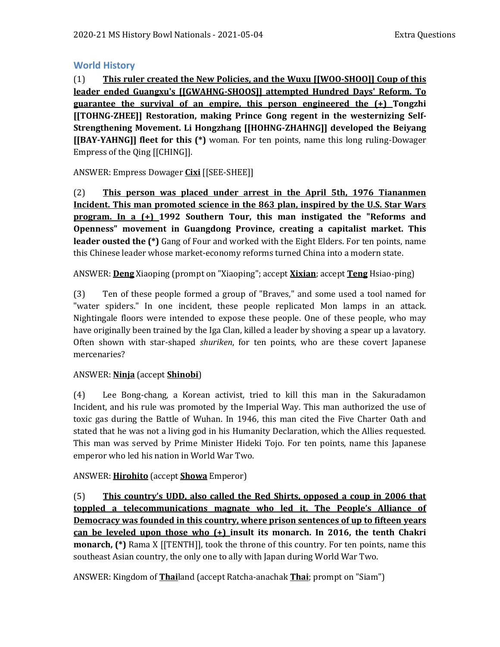## **World History**

(1) **This ruler created the New Policies, and the Wuxu [[WOO-SHOO]] Coup of this leader ended Guangxu's [[GWAHNG-SHOOS]] attempted Hundred Days' Reform. To guarantee the survival of an empire, this person engineered the (+) Tongzhi [[TOHNG-ZHEE]] Restoration, making Prince Gong regent in the westernizing Self-Strengthening Movement. Li Hongzhang [[HOHNG-ZHAHNG]] developed the Beiyang [[BAY-YAHNG]] fleet for this (\*)** woman. For ten points, name this long ruling-Dowager Empress of the Qing [[CHING]].

ANSWER: Empress Dowager **Cixi** [[SEE-SHEE]]

(2) **This person was placed under arrest in the April 5th, 1976 Tiananmen Incident. This man promoted science in the 863 plan, inspired by the U.S. Star Wars program. In a (+) 1992 Southern Tour, this man instigated the "Reforms and Openness" movement in Guangdong Province, creating a capitalist market. This leader ousted the (\*)** Gang of Four and worked with the Eight Elders. For ten points, name this Chinese leader whose market-economy reforms turned China into a modern state.

ANSWER: **Deng** Xiaoping (prompt on "Xiaoping"; accept **Xixian**; accept **Teng** Hsiao-ping)

(3) Ten of these people formed a group of "Braves," and some used a tool named for "water spiders." In one incident, these people replicated Mon lamps in an attack. Nightingale floors were intended to expose these people. One of these people, who may have originally been trained by the Iga Clan, killed a leader by shoving a spear up a lavatory. Often shown with star-shaped *shuriken*, for ten points, who are these covert Japanese mercenaries?

#### ANSWER: **Ninja** (accept **Shinobi**)

(4) Lee Bong-chang, a Korean activist, tried to kill this man in the Sakuradamon Incident, and his rule was promoted by the Imperial Way. This man authorized the use of toxic gas during the Battle of Wuhan. In 1946, this man cited the Five Charter Oath and stated that he was not a living god in his Humanity Declaration, which the Allies requested. This man was served by Prime Minister Hideki Tojo. For ten points, name this Japanese emperor who led his nation in World War Two.

#### ANSWER: **Hirohito** (accept **Showa** Emperor)

(5) **This country's UDD, also called the Red Shirts, opposed a coup in 2006 that toppled a telecommunications magnate who led it. The People's Alliance of Democracy was founded in this country, where prison sentences of up to fifteen years can be leveled upon those who (+) insult its monarch. In 2016, the tenth Chakri monarch, (\*)** Rama X [[TENTH]], took the throne of this country. For ten points, name this southeast Asian country, the only one to ally with Japan during World War Two.

ANSWER: Kingdom of **Thai**land (accept Ratcha-anachak **Thai**; prompt on "Siam")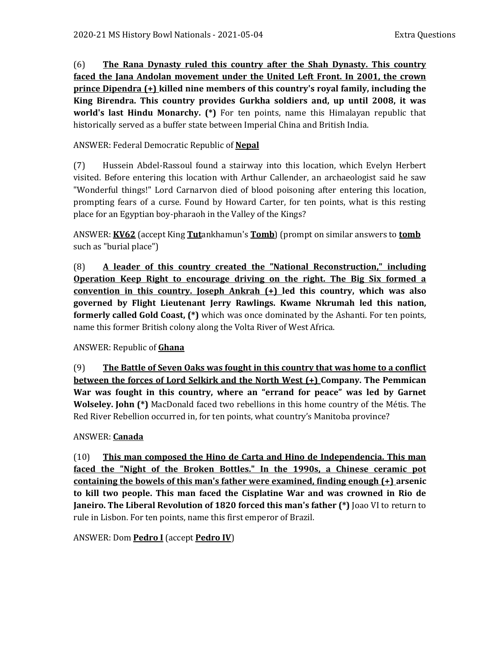(6) **The Rana Dynasty ruled this country after the Shah Dynasty. This country faced the Jana Andolan movement under the United Left Front. In 2001, the crown prince Dipendra (+) killed nine members of this country's royal family, including the King Birendra. This country provides Gurkha soldiers and, up until 2008, it was world's last Hindu Monarchy. (\*)** For ten points, name this Himalayan republic that historically served as a buffer state between Imperial China and British India.

## ANSWER: Federal Democratic Republic of **Nepal**

(7) Hussein Abdel-Rassoul found a stairway into this location, which Evelyn Herbert visited. Before entering this location with Arthur Callender, an archaeologist said he saw "Wonderful things!" Lord Carnarvon died of blood poisoning after entering this location, prompting fears of a curse. Found by Howard Carter, for ten points, what is this resting place for an Egyptian boy-pharaoh in the Valley of the Kings?

ANSWER: **KV62** (accept King **Tut**ankhamun's **Tomb**) (prompt on similar answers to **tomb** such as "burial place")

(8) **A leader of this country created the "National Reconstruction," including Operation Keep Right to encourage driving on the right. The Big Six formed a convention in this country. Joseph Ankrah (+) led this country, which was also governed by Flight Lieutenant Jerry Rawlings. Kwame Nkrumah led this nation, formerly called Gold Coast, (\*)** which was once dominated by the Ashanti. For ten points, name this former British colony along the Volta River of West Africa.

#### ANSWER: Republic of **Ghana**

(9) **The Battle of Seven Oaks was fought in this country that was home to a conflict between the forces of Lord Selkirk and the North West (+) Company. The Pemmican War was fought in this country, where an "errand for peace" was led by Garnet Wolseley. John (\*)** MacDonald faced two rebellions in this home country of the Métis. The Red River Rebellion occurred in, for ten points, what country's Manitoba province?

#### ANSWER: **Canada**

(10) **This man composed the Hino de Carta and Hino de Independencia. This man faced the "Night of the Broken Bottles." In the 1990s, a Chinese ceramic pot containing the bowels of this man's father were examined, finding enough (+) arsenic to kill two people. This man faced the Cisplatine War and was crowned in Rio de Janeiro. The Liberal Revolution of 1820 forced this man's father (\*)** Joao VI to return to rule in Lisbon. For ten points, name this first emperor of Brazil.

#### ANSWER: Dom **Pedro I** (accept **Pedro IV**)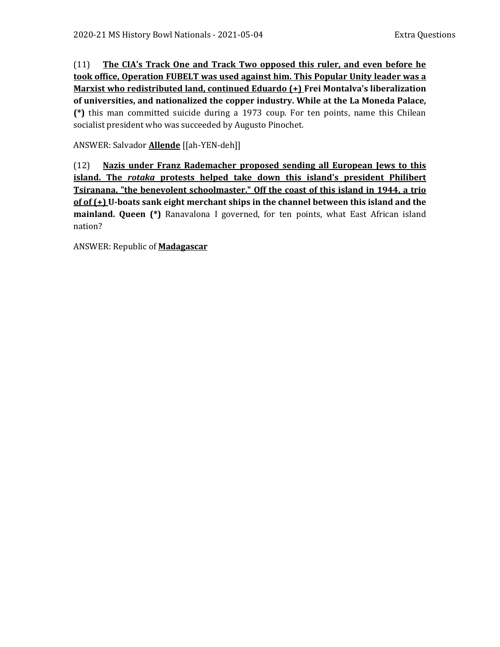(11) **The CIA's Track One and Track Two opposed this ruler, and even before he took office, Operation FUBELT was used against him. This Popular Unity leader was a Marxist who redistributed land, continued Eduardo (+) Frei Montalva's liberalization of universities, and nationalized the copper industry. While at the La Moneda Palace, (\*)** this man committed suicide during a 1973 coup. For ten points, name this Chilean socialist president who was succeeded by Augusto Pinochet.

ANSWER: Salvador **Allende** [[ah-YEN-deh]]

(12) **Nazis under Franz Rademacher proposed sending all European Jews to this island. The** *rotaka* **protests helped take down this island's president Philibert Tsiranana, "the benevolent schoolmaster." Off the coast of this island in 1944, a trio of of (+) U-boats sank eight merchant ships in the channel between this island and the mainland. Queen (\*)** Ranavalona I governed, for ten points, what East African island nation?

ANSWER: Republic of **Madagascar**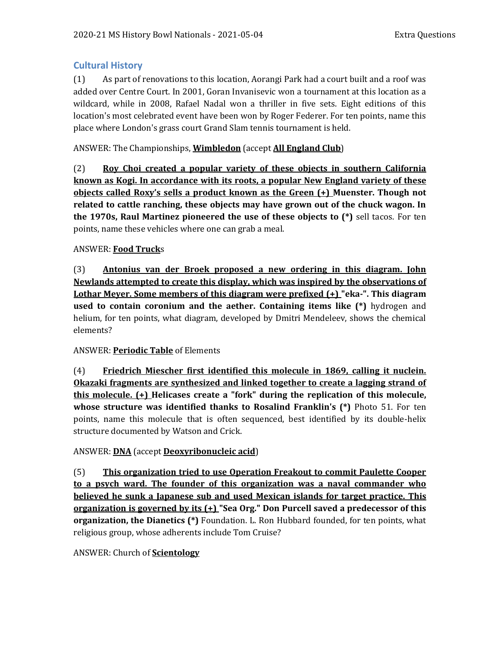# **Cultural History**

(1) As part of renovations to this location, Aorangi Park had a court built and a roof was added over Centre Court. In 2001, Goran Invanisevic won a tournament at this location as a wildcard, while in 2008, Rafael Nadal won a thriller in five sets. Eight editions of this location's most celebrated event have been won by Roger Federer. For ten points, name this place where London's grass court Grand Slam tennis tournament is held.

# ANSWER: The Championships, **Wimbledon** (accept **All England Club**)

(2) **Roy Choi created a popular variety of these objects in southern California known as Kogi. In accordance with its roots, a popular New England variety of these objects called Roxy's sells a product known as the Green (+) Muenster. Though not related to cattle ranching, these objects may have grown out of the chuck wagon. In the 1970s, Raul Martinez pioneered the use of these objects to (\*)** sell tacos. For ten points, name these vehicles where one can grab a meal.

# ANSWER: **Food Truck**s

(3) **Antonius van der Broek proposed a new ordering in this diagram. John Newlands attempted to create this display, which was inspired by the observations of Lothar Meyer. Some members of this diagram were prefixed (+) "eka-". This diagram used to contain coronium and the aether. Containing items like (\*)** hydrogen and helium, for ten points, what diagram, developed by Dmitri Mendeleev, shows the chemical elements?

# ANSWER: **Periodic Table** of Elements

(4) **Friedrich Miescher first identified this molecule in 1869, calling it nuclein. Okazaki fragments are synthesized and linked together to create a lagging strand of this molecule. (+) Helicases create a "fork" during the replication of this molecule, whose structure was identified thanks to Rosalind Franklin's (\*)** Photo 51. For ten points, name this molecule that is often sequenced, best identified by its double-helix structure documented by Watson and Crick.

# ANSWER: **DNA** (accept **Deoxyribonucleic acid**)

(5) **This organization tried to use Operation Freakout to commit Paulette Cooper to a psych ward. The founder of this organization was a naval commander who believed he sunk a Japanese sub and used Mexican islands for target practice. This organization is governed by its (+) "Sea Org." Don Purcell saved a predecessor of this organization, the Dianetics (\*)** Foundation. L. Ron Hubbard founded, for ten points, what religious group, whose adherents include Tom Cruise?

#### ANSWER: Church of **Scientology**